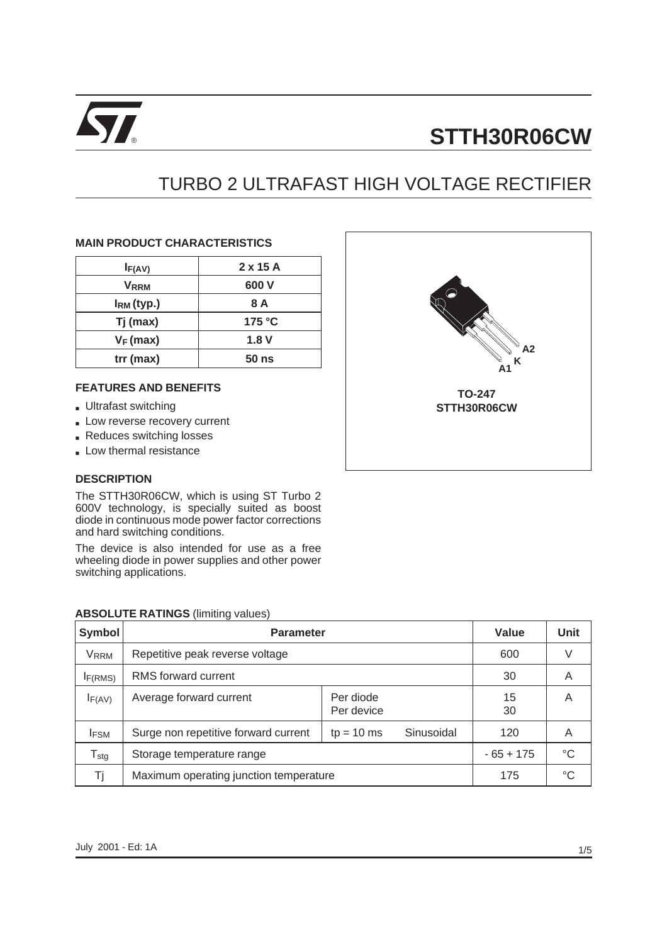

# **STTH30R06CW**

## TURBO 2 ULTRAFAST HIGH VOLTAGE RECTIFIER

#### **MAIN PRODUCT CHARACTERISTICS**

| I <sub>F(AV)</sub>      | $2 \times 15$ A  |  |  |
|-------------------------|------------------|--|--|
| <b>V</b> <sub>RRM</sub> | 600 V            |  |  |
| $IRM$ (typ.)            | 8 A              |  |  |
| Tj (max)                | 175 °C           |  |  |
| $V_F$ (max)             | 1.8V             |  |  |
| $trr$ (max)             | 50 <sub>ns</sub> |  |  |

#### **FEATURES AND BENEFITS**

- Ultrafast switching
- Low reverse recovery current
- Reduces switching losses
- Low thermal resistance

#### **DESCRIPTION**

The STTH30R06CW, which is using ST Turbo 2 600V technology, is specially suited as boost diode in continuous mode power factor corrections and hard switching conditions.

The device is also intended for use as a free wheeling diode in power supplies and other power switching applications.

| <b>ABSOLUTE RATINGS (limiting values)</b> |  |  |
|-------------------------------------------|--|--|
|-------------------------------------------|--|--|

| Symbol              | <b>Parameter</b>                       | Value                   | Unit       |             |    |
|---------------------|----------------------------------------|-------------------------|------------|-------------|----|
| <b>VRRM</b>         | Repetitive peak reverse voltage        | 600                     | V          |             |    |
| I <sub>F(RMS)</sub> | RMS forward current                    | 30                      | A          |             |    |
| IF(AV)              | Average forward current                | Per diode<br>Per device |            | 15<br>30    | A  |
| <b>IFSM</b>         | Surge non repetitive forward current   | $tp = 10$ ms            | Sinusoidal | 120         | A  |
| $T_{\text{stg}}$    | Storage temperature range              |                         |            | $-65 + 175$ | °C |
| Ti                  | Maximum operating junction temperature | 175                     | °C         |             |    |

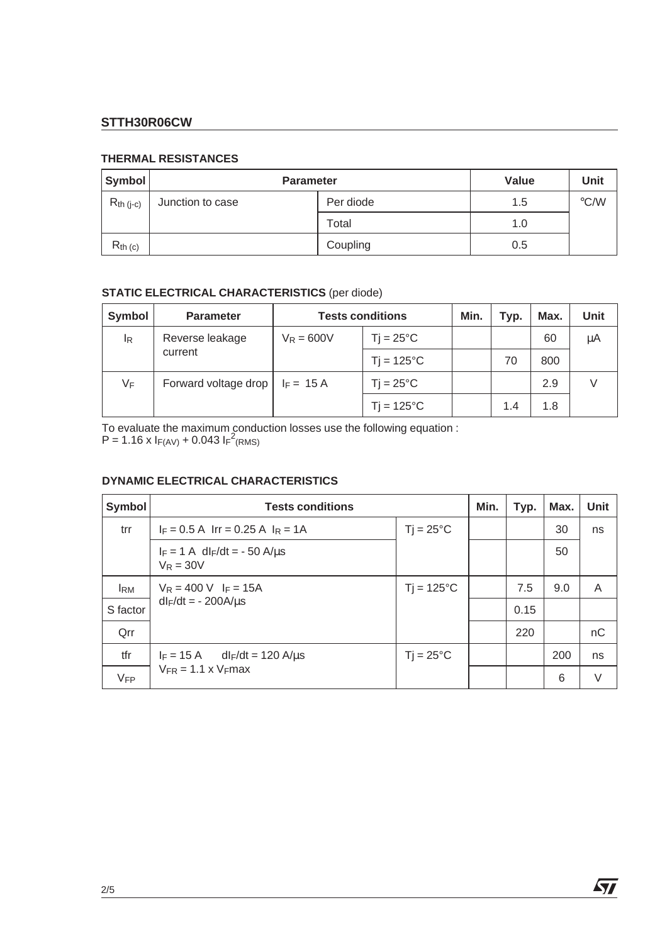## **STTH30R06CW**

#### **THERMAL RESISTANCES**

| Symbol         | <b>Parameter</b> | Value     | Unit |               |
|----------------|------------------|-----------|------|---------------|
| $R_{th (j-c)}$ | Junction to case | Per diode | 1.5  | $\degree$ C/W |
|                |                  | Total     | 1.0  |               |
| $R_{th}$ (c)   |                  | Coupling  | 0.5  |               |

### **STATIC ELECTRICAL CHARACTERISTICS** (per diode)

| Symbol         | <b>Parameter</b>     | <b>Tests conditions</b> |                         | Min. | Typ. | Max. | Unit |
|----------------|----------------------|-------------------------|-------------------------|------|------|------|------|
| l <sub>R</sub> | Reverse leakage      | $V_R = 600V$            | $T$ j = 25 $^{\circ}$ C |      |      | 60   | μA   |
|                | current              |                         | $T$ j = 125 $\degree$ C |      | 70   | 800  |      |
| VF             | Forward voltage drop | $I_F = 15 A$            | $Ti = 25^{\circ}C$      |      |      | 2.9  |      |
|                |                      |                         | $T$ j = 125 $\degree$ C |      | 1.4  | 1.8  |      |

To evaluate the maximum conduction losses use the following equation :  $P = 1.16 \times I_{F(AV)} + 0.043 I_{F}^2$ (RMS)

#### **DYNAMIC ELECTRICAL CHARACTERISTICS**

| Symbol     | <b>Tests conditions</b>                                    |                                 |  | Typ. | Max. | Unit |
|------------|------------------------------------------------------------|---------------------------------|--|------|------|------|
| trr        | $I_F = 0.5$ A $Irr = 0.25$ A $I_R = 1$ A                   | $T$ j = 25 $\mathrm{^{\circ}C}$ |  |      | 30   | ns   |
|            | $I_F = 1$ A dl <sub>F</sub> /dt = - 50 A/us<br>$V_R = 30V$ |                                 |  |      | 50   |      |
| <b>IRM</b> | $V_R = 400 V$ I <sub>F</sub> = 15A                         | $Ti = 125^{\circ}C$             |  | 7.5  | 9.0  | A    |
| S factor   | $dl_F/dt = -200A/\mu s$                                    |                                 |  | 0.15 |      |      |
| Qrr        |                                                            |                                 |  | 220  |      | nC   |
| tfr        | $I_F = 15 \text{ A}$ dl <sub>F</sub> /dt = 120 A/us        | $Ti = 25^{\circ}C$              |  |      | 200  | ns   |
| VFP        | $V_{FR} = 1.1 \times V_{F}$ max                            |                                 |  |      | 6    | V    |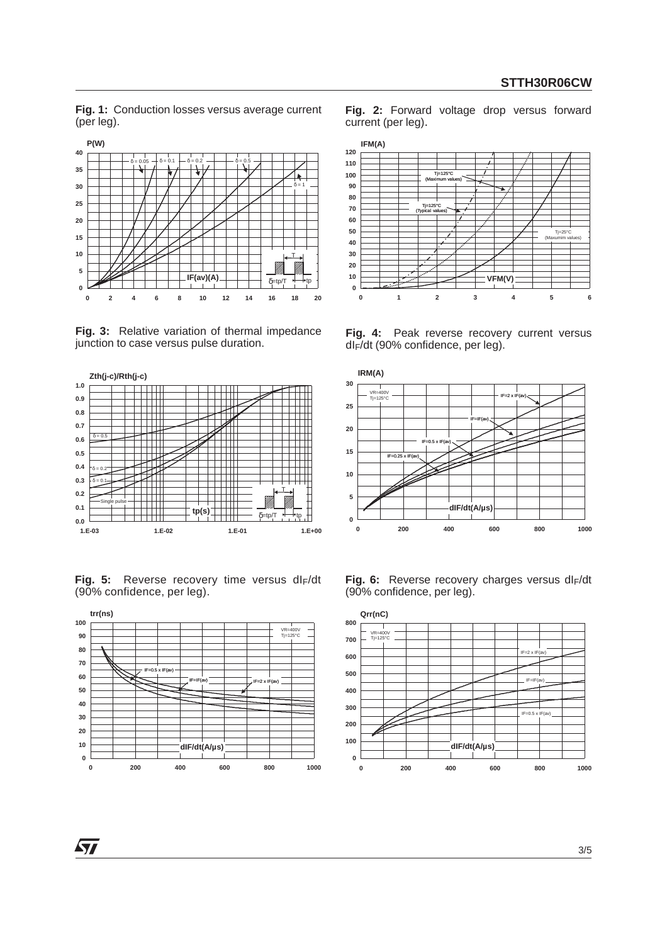**Fig. 1:** Conduction losses versus average current (per leg).



**Fig. 3:** Relative variation of thermal impedance junction to case versus pulse duration.



Fig. 5: Reverse recovery time versus dl<sub>F</sub>/dt (90% confidence, per leg).



**Fig. 2:** Forward voltage drop versus forward current (per leg).



**Fig. 4:** Peak reverse recovery current versus dIF/dt (90% confidence, per leg).



Fig. 6: Reverse recovery charges versus dl<sub>F</sub>/dt (90% confidence, per leg).

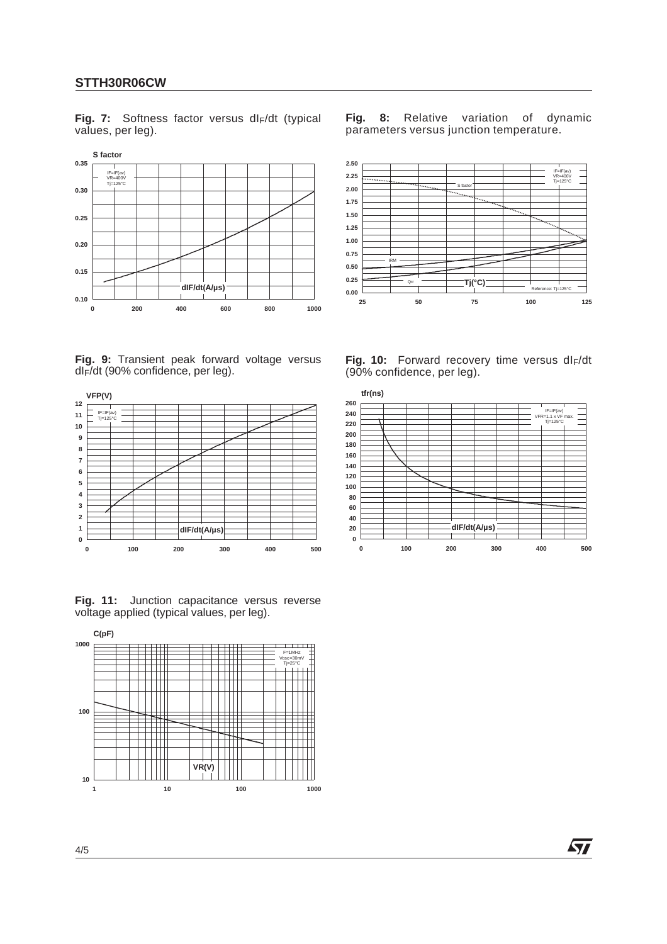#### **STTH30R06CW**

Fig. 7: Softness factor versus dl<sub>F</sub>/dt (typical values, per leg).



**Fig. 9:** Transient peak forward voltage versus dIF/dt (90% confidence, per leg).



**Fig. 11:** Junction capacitance versus reverse voltage applied (typical values, per leg).



**Fig. 8:** Relative variation of dynamic parameters versus junction temperature.



Fig. 10: Forward recovery time versus dl<sub>F</sub>/dt (90% confidence, per leg).



*ST*